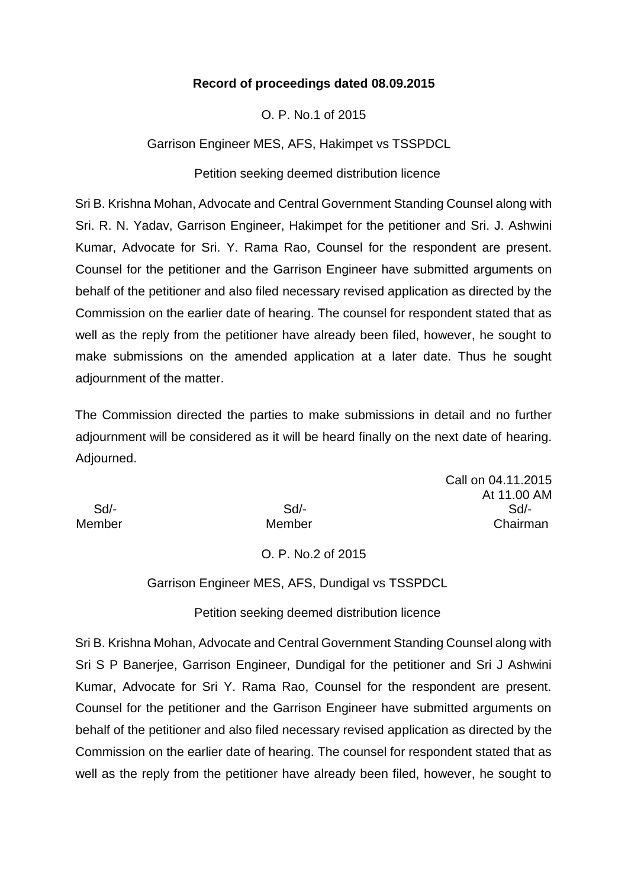### **Record of proceedings dated 08.09.2015**

O. P. No.1 of 2015

Garrison Engineer MES, AFS, Hakimpet vs TSSPDCL

Petition seeking deemed distribution licence

Sri B. Krishna Mohan, Advocate and Central Government Standing Counsel along with Sri. R. N. Yadav, Garrison Engineer, Hakimpet for the petitioner and Sri. J. Ashwini Kumar, Advocate for Sri. Y. Rama Rao, Counsel for the respondent are present. Counsel for the petitioner and the Garrison Engineer have submitted arguments on behalf of the petitioner and also filed necessary revised application as directed by the Commission on the earlier date of hearing. The counsel for respondent stated that as well as the reply from the petitioner have already been filed, however, he sought to make submissions on the amended application at a later date. Thus he sought adjournment of the matter.

The Commission directed the parties to make submissions in detail and no further adjournment will be considered as it will be heard finally on the next date of hearing. Adjourned.

Call on 04.11.2015 At 11.00 AM Sd/- Sd/- Sd/- Member Member Chairman

# O. P. No.2 of 2015

Garrison Engineer MES, AFS, Dundigal vs TSSPDCL

Petition seeking deemed distribution licence

Sri B. Krishna Mohan, Advocate and Central Government Standing Counsel along with Sri S P Banerjee, Garrison Engineer, Dundigal for the petitioner and Sri J Ashwini Kumar, Advocate for Sri Y. Rama Rao, Counsel for the respondent are present. Counsel for the petitioner and the Garrison Engineer have submitted arguments on behalf of the petitioner and also filed necessary revised application as directed by the Commission on the earlier date of hearing. The counsel for respondent stated that as well as the reply from the petitioner have already been filed, however, he sought to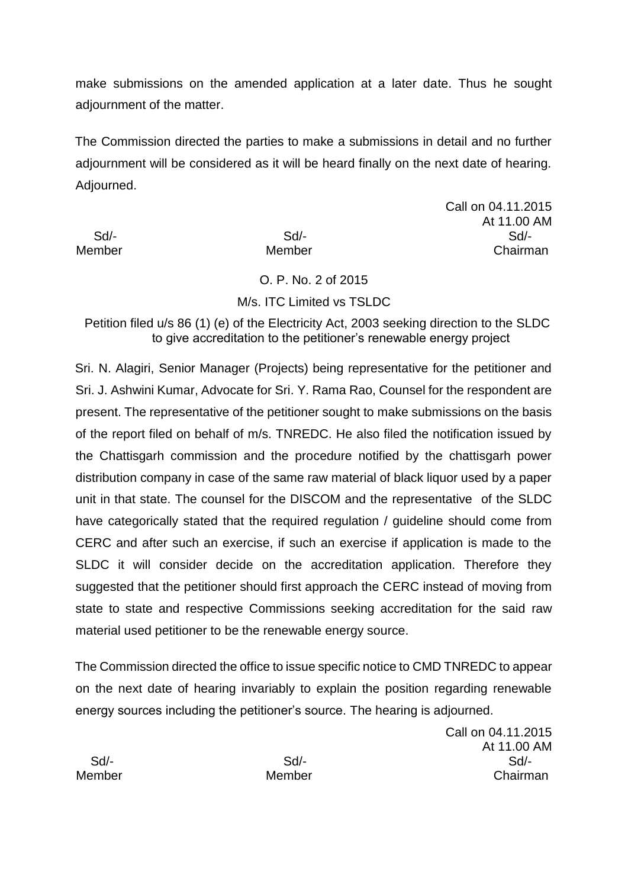make submissions on the amended application at a later date. Thus he sought adjournment of the matter.

The Commission directed the parties to make a submissions in detail and no further adjournment will be considered as it will be heard finally on the next date of hearing. Adjourned.

Call on 04.11.2015 At 11.00 AM Sd/- Sd/- Sd/- Member Member Chairman

O. P. No. 2 of 2015

# M/s. ITC Limited vs TSLDC

Petition filed u/s 86 (1) (e) of the Electricity Act, 2003 seeking direction to the SLDC to give accreditation to the petitioner's renewable energy project

Sri. N. Alagiri, Senior Manager (Projects) being representative for the petitioner and Sri. J. Ashwini Kumar, Advocate for Sri. Y. Rama Rao, Counsel for the respondent are present. The representative of the petitioner sought to make submissions on the basis of the report filed on behalf of m/s. TNREDC. He also filed the notification issued by the Chattisgarh commission and the procedure notified by the chattisgarh power distribution company in case of the same raw material of black liquor used by a paper unit in that state. The counsel for the DISCOM and the representative of the SLDC have categorically stated that the required regulation / guideline should come from CERC and after such an exercise, if such an exercise if application is made to the SLDC it will consider decide on the accreditation application. Therefore they suggested that the petitioner should first approach the CERC instead of moving from state to state and respective Commissions seeking accreditation for the said raw material used petitioner to be the renewable energy source.

The Commission directed the office to issue specific notice to CMD TNREDC to appear on the next date of hearing invariably to explain the position regarding renewable energy sources including the petitioner's source. The hearing is adjourned.

Call on 04.11.2015 At 11.00 AM Sd/- Sd/- Sd/- Member Member Chairman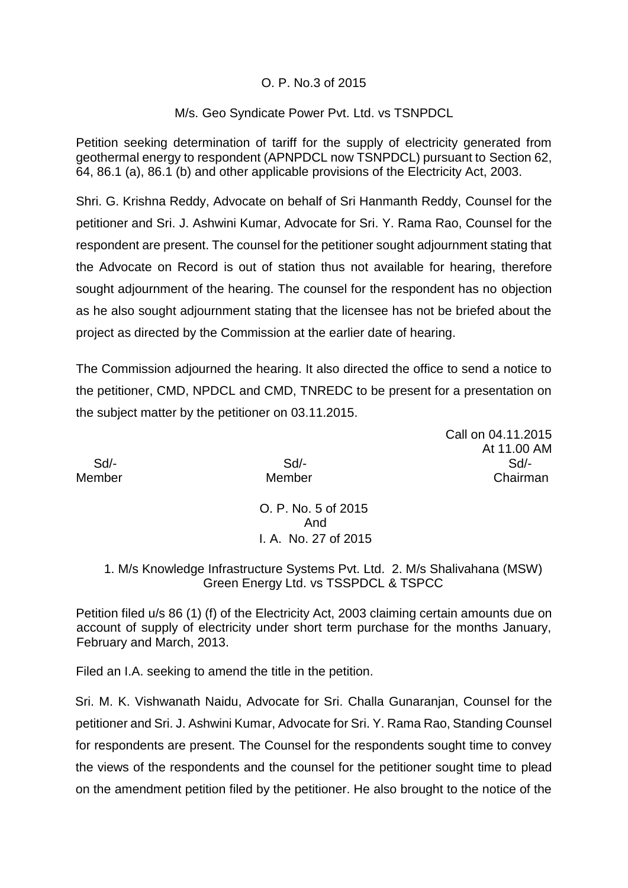### O. P. No.3 of 2015

### M/s. Geo Syndicate Power Pvt. Ltd. vs TSNPDCL

Petition seeking determination of tariff for the supply of electricity generated from geothermal energy to respondent (APNPDCL now TSNPDCL) pursuant to Section 62, 64, 86.1 (a), 86.1 (b) and other applicable provisions of the Electricity Act, 2003.

Shri. G. Krishna Reddy, Advocate on behalf of Sri Hanmanth Reddy, Counsel for the petitioner and Sri. J. Ashwini Kumar, Advocate for Sri. Y. Rama Rao, Counsel for the respondent are present. The counsel for the petitioner sought adjournment stating that the Advocate on Record is out of station thus not available for hearing, therefore sought adjournment of the hearing. The counsel for the respondent has no objection as he also sought adjournment stating that the licensee has not be briefed about the project as directed by the Commission at the earlier date of hearing.

The Commission adjourned the hearing. It also directed the office to send a notice to the petitioner, CMD, NPDCL and CMD, TNREDC to be present for a presentation on the subject matter by the petitioner on 03.11.2015.

Call on 04.11.2015 At 11.00 AM Sd/- Sd/- Sd/- Member Member Chairman

> O. P. No. 5 of 2015 And I. A. No. 27 of 2015

1. M/s Knowledge Infrastructure Systems Pvt. Ltd. 2. M/s Shalivahana (MSW) Green Energy Ltd. vs TSSPDCL & TSPCC

Petition filed u/s 86 (1) (f) of the Electricity Act, 2003 claiming certain amounts due on account of supply of electricity under short term purchase for the months January, February and March, 2013.

Filed an I.A. seeking to amend the title in the petition.

Sri. M. K. Vishwanath Naidu, Advocate for Sri. Challa Gunaranjan, Counsel for the petitioner and Sri. J. Ashwini Kumar, Advocate for Sri. Y. Rama Rao, Standing Counsel for respondents are present. The Counsel for the respondents sought time to convey the views of the respondents and the counsel for the petitioner sought time to plead on the amendment petition filed by the petitioner. He also brought to the notice of the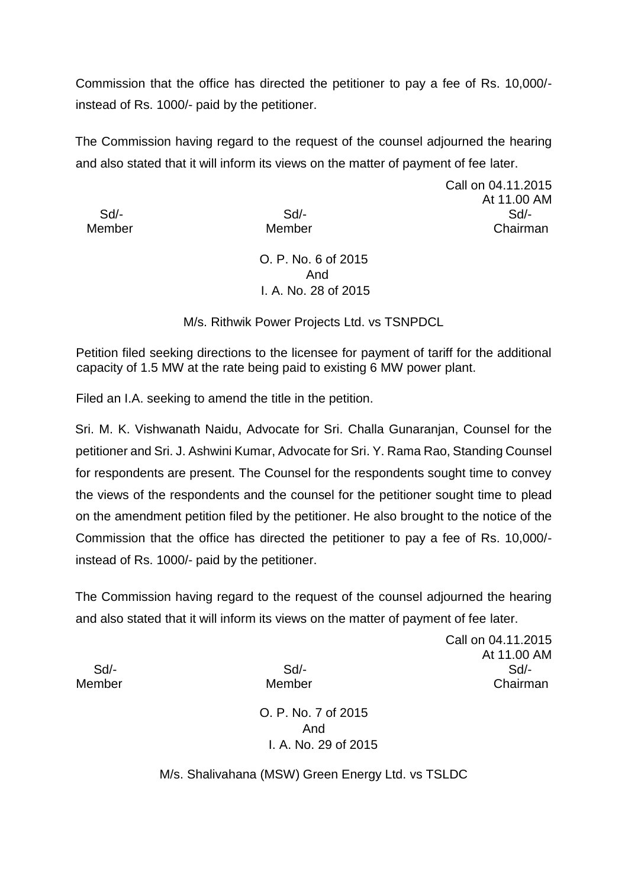Commission that the office has directed the petitioner to pay a fee of Rs. 10,000/ instead of Rs. 1000/- paid by the petitioner.

The Commission having regard to the request of the counsel adjourned the hearing and also stated that it will inform its views on the matter of payment of fee later.

Call on 04.11.2015 At 11.00 AM Sd/- Sd/- Sd/- Member Member Chairman

> O. P. No. 6 of 2015 And I. A. No. 28 of 2015

M/s. Rithwik Power Projects Ltd. vs TSNPDCL

Petition filed seeking directions to the licensee for payment of tariff for the additional capacity of 1.5 MW at the rate being paid to existing 6 MW power plant.

Filed an I.A. seeking to amend the title in the petition.

Sri. M. K. Vishwanath Naidu, Advocate for Sri. Challa Gunaranjan, Counsel for the petitioner and Sri. J. Ashwini Kumar, Advocate for Sri. Y. Rama Rao, Standing Counsel for respondents are present. The Counsel for the respondents sought time to convey the views of the respondents and the counsel for the petitioner sought time to plead on the amendment petition filed by the petitioner. He also brought to the notice of the Commission that the office has directed the petitioner to pay a fee of Rs. 10,000/ instead of Rs. 1000/- paid by the petitioner.

The Commission having regard to the request of the counsel adjourned the hearing and also stated that it will inform its views on the matter of payment of fee later.

Call on 04.11.2015 At 11.00 AM Sd/- Sd/- Sd/- Member Member Chairman

O. P. No. 7 of 2015 And I. A. No. 29 of 2015

M/s. Shalivahana (MSW) Green Energy Ltd. vs TSLDC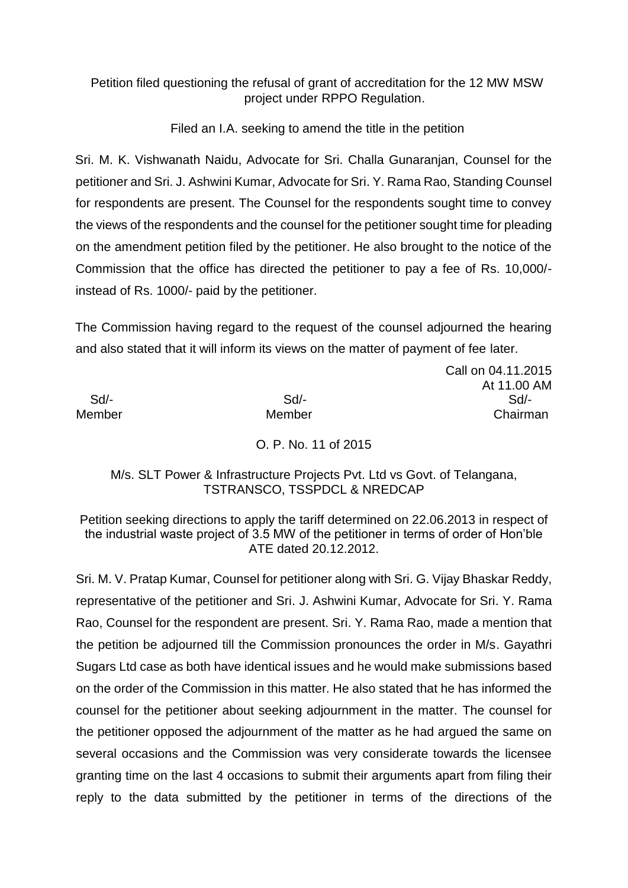# Petition filed questioning the refusal of grant of accreditation for the 12 MW MSW project under RPPO Regulation.

Filed an I.A. seeking to amend the title in the petition

Sri. M. K. Vishwanath Naidu, Advocate for Sri. Challa Gunaranjan, Counsel for the petitioner and Sri. J. Ashwini Kumar, Advocate for Sri. Y. Rama Rao, Standing Counsel for respondents are present. The Counsel for the respondents sought time to convey the views of the respondents and the counsel for the petitioner sought time for pleading on the amendment petition filed by the petitioner. He also brought to the notice of the Commission that the office has directed the petitioner to pay a fee of Rs. 10,000/ instead of Rs. 1000/- paid by the petitioner.

The Commission having regard to the request of the counsel adjourned the hearing and also stated that it will inform its views on the matter of payment of fee later.

Call on 04.11.2015 At 11.00 AM Sd/- Sd/- Sd/- Member Member Chairman

O. P. No. 11 of 2015

### M/s. SLT Power & Infrastructure Projects Pvt. Ltd vs Govt. of Telangana, TSTRANSCO, TSSPDCL & NREDCAP

Petition seeking directions to apply the tariff determined on 22.06.2013 in respect of the industrial waste project of 3.5 MW of the petitioner in terms of order of Hon'ble ATE dated 20.12.2012.

Sri. M. V. Pratap Kumar, Counsel for petitioner along with Sri. G. Vijay Bhaskar Reddy, representative of the petitioner and Sri. J. Ashwini Kumar, Advocate for Sri. Y. Rama Rao, Counsel for the respondent are present. Sri. Y. Rama Rao, made a mention that the petition be adjourned till the Commission pronounces the order in M/s. Gayathri Sugars Ltd case as both have identical issues and he would make submissions based on the order of the Commission in this matter. He also stated that he has informed the counsel for the petitioner about seeking adjournment in the matter. The counsel for the petitioner opposed the adjournment of the matter as he had argued the same on several occasions and the Commission was very considerate towards the licensee granting time on the last 4 occasions to submit their arguments apart from filing their reply to the data submitted by the petitioner in terms of the directions of the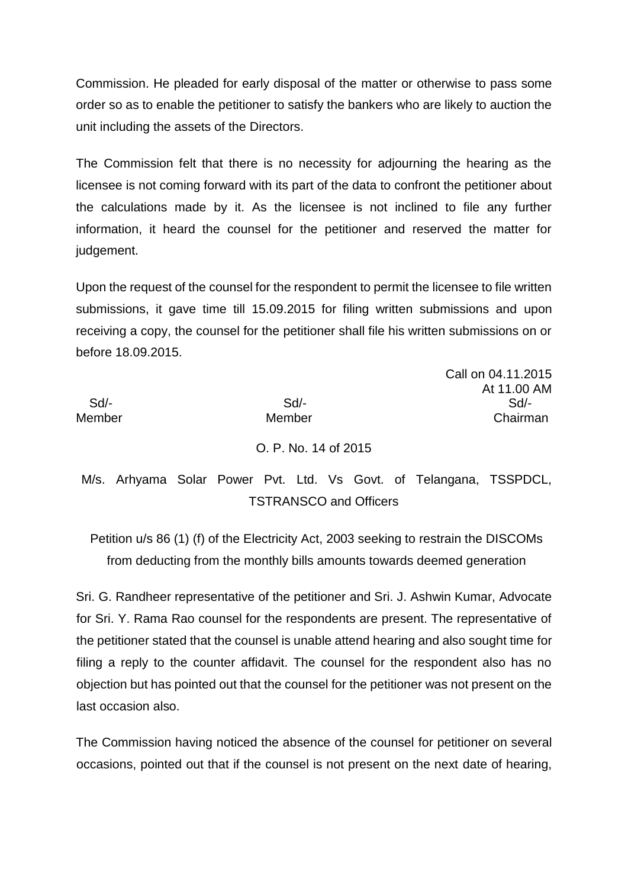Commission. He pleaded for early disposal of the matter or otherwise to pass some order so as to enable the petitioner to satisfy the bankers who are likely to auction the unit including the assets of the Directors.

The Commission felt that there is no necessity for adjourning the hearing as the licensee is not coming forward with its part of the data to confront the petitioner about the calculations made by it. As the licensee is not inclined to file any further information, it heard the counsel for the petitioner and reserved the matter for judgement.

Upon the request of the counsel for the respondent to permit the licensee to file written submissions, it gave time till 15.09.2015 for filing written submissions and upon receiving a copy, the counsel for the petitioner shall file his written submissions on or before 18.09.2015.

Call on 04.11.2015

| -Sd/-<br>Member               |  | Sd<br>Member |  |  |                      |  |  |  |  | At 11.00 AM<br>Sd/-<br>Chairman                                    |
|-------------------------------|--|--------------|--|--|----------------------|--|--|--|--|--------------------------------------------------------------------|
|                               |  |              |  |  | O. P. No. 14 of 2015 |  |  |  |  |                                                                    |
|                               |  |              |  |  |                      |  |  |  |  | M/s. Arhyama Solar Power Pvt. Ltd. Vs Govt. of Telangana, TSSPDCL, |
| <b>TSTRANSCO and Officers</b> |  |              |  |  |                      |  |  |  |  |                                                                    |

Petition u/s 86 (1) (f) of the Electricity Act, 2003 seeking to restrain the DISCOMs from deducting from the monthly bills amounts towards deemed generation

Sri. G. Randheer representative of the petitioner and Sri. J. Ashwin Kumar, Advocate for Sri. Y. Rama Rao counsel for the respondents are present. The representative of the petitioner stated that the counsel is unable attend hearing and also sought time for filing a reply to the counter affidavit. The counsel for the respondent also has no objection but has pointed out that the counsel for the petitioner was not present on the last occasion also.

The Commission having noticed the absence of the counsel for petitioner on several occasions, pointed out that if the counsel is not present on the next date of hearing,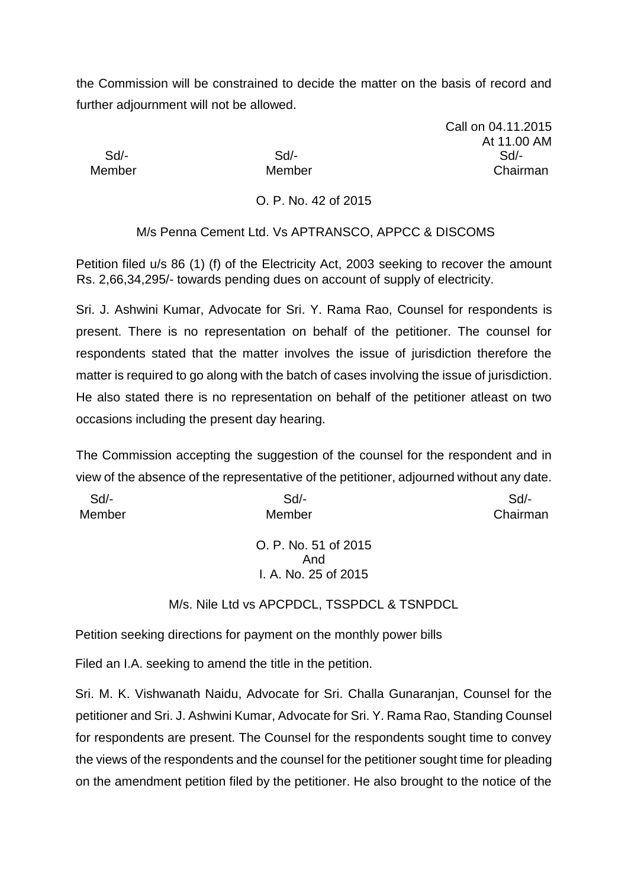the Commission will be constrained to decide the matter on the basis of record and further adjournment will not be allowed.

Call on 04.11.2015 At 11.00 AM Sd/- Sd/- Sd/- Member Member Chairman

O. P. No. 42 of 2015

M/s Penna Cement Ltd. Vs APTRANSCO, APPCC & DISCOMS

Petition filed u/s 86 (1) (f) of the Electricity Act, 2003 seeking to recover the amount Rs. 2,66,34,295/- towards pending dues on account of supply of electricity.

Sri. J. Ashwini Kumar, Advocate for Sri. Y. Rama Rao, Counsel for respondents is present. There is no representation on behalf of the petitioner. The counsel for respondents stated that the matter involves the issue of jurisdiction therefore the matter is required to go along with the batch of cases involving the issue of jurisdiction. He also stated there is no representation on behalf of the petitioner atleast on two occasions including the present day hearing.

The Commission accepting the suggestion of the counsel for the respondent and in view of the absence of the representative of the petitioner, adjourned without any date.

| Sd     | $Sd$ -               | Sd       |
|--------|----------------------|----------|
| Member | Member               | Chairman |
|        |                      |          |
|        | O. P. No. 51 of 2015 |          |
|        | And                  |          |
|        | I. A. No. 25 of 2015 |          |

M/s. Nile Ltd vs APCPDCL, TSSPDCL & TSNPDCL

Petition seeking directions for payment on the monthly power bills

Filed an I.A. seeking to amend the title in the petition.

Sri. M. K. Vishwanath Naidu, Advocate for Sri. Challa Gunaranjan, Counsel for the petitioner and Sri. J. Ashwini Kumar, Advocate for Sri. Y. Rama Rao, Standing Counsel for respondents are present. The Counsel for the respondents sought time to convey the views of the respondents and the counsel for the petitioner sought time for pleading on the amendment petition filed by the petitioner. He also brought to the notice of the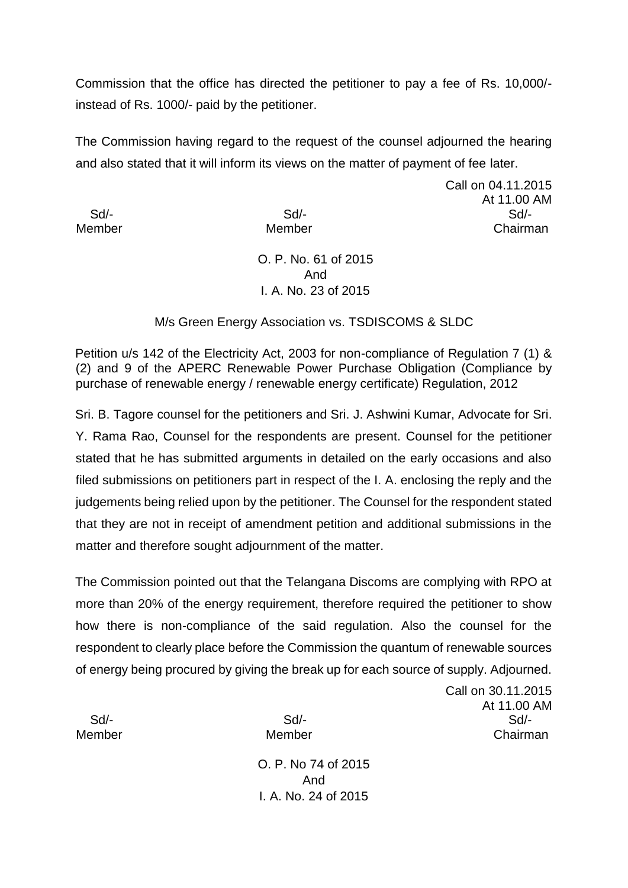Commission that the office has directed the petitioner to pay a fee of Rs. 10,000/ instead of Rs. 1000/- paid by the petitioner.

The Commission having regard to the request of the counsel adjourned the hearing and also stated that it will inform its views on the matter of payment of fee later.

Call on 04.11.2015 At 11.00 AM Sd/- Sd/- Sd/- Member Member Chairman

> O. P. No. 61 of 2015 And I. A. No. 23 of 2015

M/s Green Energy Association vs. TSDISCOMS & SLDC

Petition u/s 142 of the Electricity Act, 2003 for non-compliance of Regulation 7 (1) & (2) and 9 of the APERC Renewable Power Purchase Obligation (Compliance by purchase of renewable energy / renewable energy certificate) Regulation, 2012

Sri. B. Tagore counsel for the petitioners and Sri. J. Ashwini Kumar, Advocate for Sri. Y. Rama Rao, Counsel for the respondents are present. Counsel for the petitioner stated that he has submitted arguments in detailed on the early occasions and also filed submissions on petitioners part in respect of the I. A. enclosing the reply and the judgements being relied upon by the petitioner. The Counsel for the respondent stated that they are not in receipt of amendment petition and additional submissions in the matter and therefore sought adjournment of the matter.

The Commission pointed out that the Telangana Discoms are complying with RPO at more than 20% of the energy requirement, therefore required the petitioner to show how there is non-compliance of the said regulation. Also the counsel for the respondent to clearly place before the Commission the quantum of renewable sources of energy being procured by giving the break up for each source of supply. Adjourned.

Call on 30.11.2015 At 11.00 AM Sd/- Sd/- Sd/- Member Member Chairman

> O. P. No 74 of 2015 And I. A. No. 24 of 2015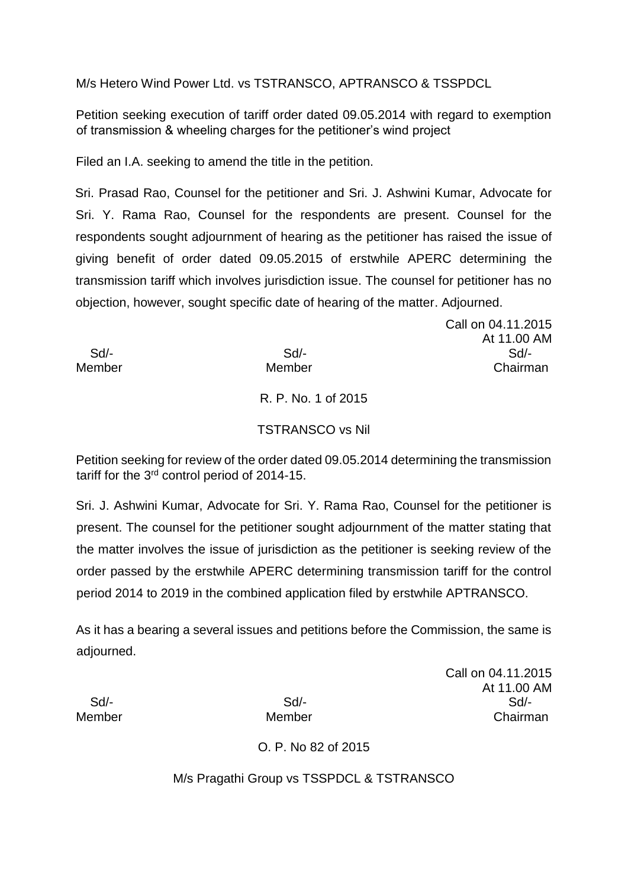M/s Hetero Wind Power Ltd. vs TSTRANSCO, APTRANSCO & TSSPDCL

Petition seeking execution of tariff order dated 09.05.2014 with regard to exemption of transmission & wheeling charges for the petitioner's wind project

Filed an I.A. seeking to amend the title in the petition.

Sri. Prasad Rao, Counsel for the petitioner and Sri. J. Ashwini Kumar, Advocate for Sri. Y. Rama Rao, Counsel for the respondents are present. Counsel for the respondents sought adjournment of hearing as the petitioner has raised the issue of giving benefit of order dated 09.05.2015 of erstwhile APERC determining the transmission tariff which involves jurisdiction issue. The counsel for petitioner has no objection, however, sought specific date of hearing of the matter. Adjourned.

Call on 04.11.2015 At 11.00 AM Sd/- Sd/- Sd/- Member Member Chairman

R. P. No. 1 of 2015

### TSTRANSCO vs Nil

Petition seeking for review of the order dated 09.05.2014 determining the transmission tariff for the 3<sup>rd</sup> control period of 2014-15.

Sri. J. Ashwini Kumar, Advocate for Sri. Y. Rama Rao, Counsel for the petitioner is present. The counsel for the petitioner sought adjournment of the matter stating that the matter involves the issue of jurisdiction as the petitioner is seeking review of the order passed by the erstwhile APERC determining transmission tariff for the control period 2014 to 2019 in the combined application filed by erstwhile APTRANSCO.

As it has a bearing a several issues and petitions before the Commission, the same is adjourned.

Call on 04.11.2015 At 11.00 AM Sd/- Sd/- Sd/- Member Member Chairman

O. P. No 82 of 2015

M/s Pragathi Group vs TSSPDCL & TSTRANSCO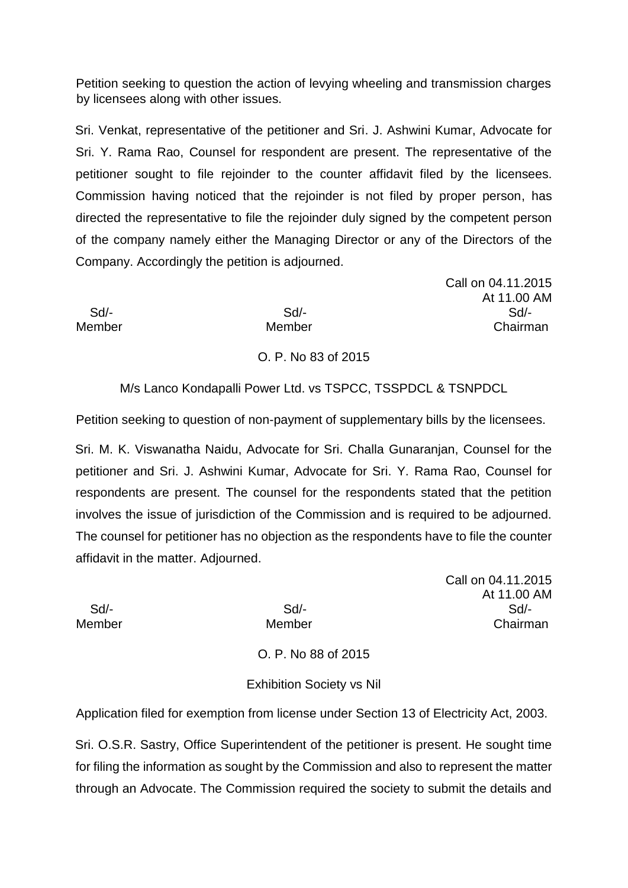Petition seeking to question the action of levying wheeling and transmission charges by licensees along with other issues.

Sri. Venkat, representative of the petitioner and Sri. J. Ashwini Kumar, Advocate for Sri. Y. Rama Rao, Counsel for respondent are present. The representative of the petitioner sought to file rejoinder to the counter affidavit filed by the licensees. Commission having noticed that the rejoinder is not filed by proper person, has directed the representative to file the rejoinder duly signed by the competent person of the company namely either the Managing Director or any of the Directors of the Company. Accordingly the petition is adjourned.

Call on 04.11.2015 At 11.00 AM Sd/- Sd/- Sd/- Member Member Chairman

O. P. No 83 of 2015

M/s Lanco Kondapalli Power Ltd. vs TSPCC, TSSPDCL & TSNPDCL

Petition seeking to question of non-payment of supplementary bills by the licensees.

Sri. M. K. Viswanatha Naidu, Advocate for Sri. Challa Gunaranjan, Counsel for the petitioner and Sri. J. Ashwini Kumar, Advocate for Sri. Y. Rama Rao, Counsel for respondents are present. The counsel for the respondents stated that the petition involves the issue of jurisdiction of the Commission and is required to be adjourned. The counsel for petitioner has no objection as the respondents have to file the counter affidavit in the matter. Adjourned.

Call on 04.11.2015 At 11.00 AM Sd/- Sd/- Sd/- Member Member Chairman

O. P. No 88 of 2015

#### Exhibition Society vs Nil

Application filed for exemption from license under Section 13 of Electricity Act, 2003.

Sri. O.S.R. Sastry, Office Superintendent of the petitioner is present. He sought time for filing the information as sought by the Commission and also to represent the matter through an Advocate. The Commission required the society to submit the details and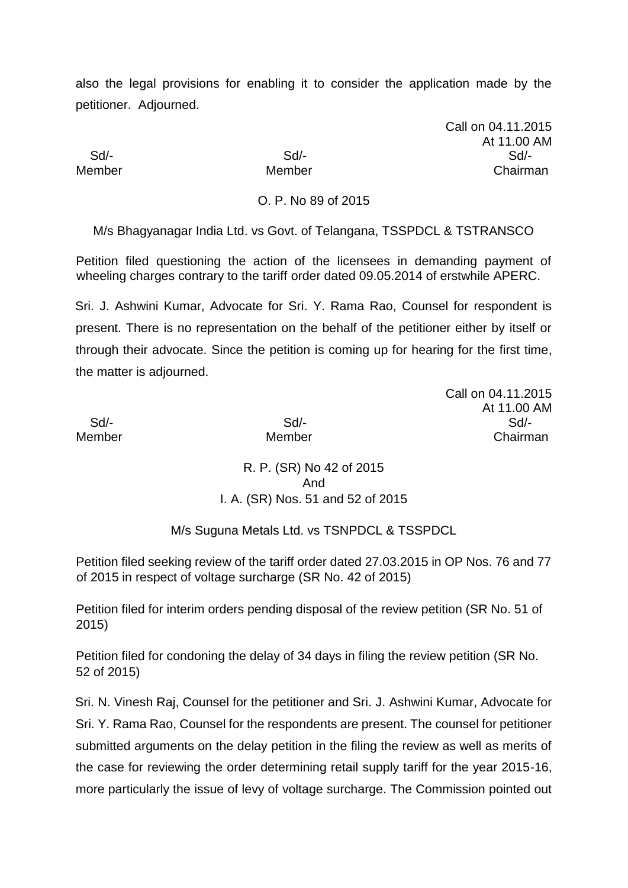also the legal provisions for enabling it to consider the application made by the petitioner. Adjourned.

Call on 04.11.2015 At 11.00 AM Sd/- Sd/- Sd/- Member Member Chairman

O. P. No 89 of 2015

M/s Bhagyanagar India Ltd. vs Govt. of Telangana, TSSPDCL & TSTRANSCO

Petition filed questioning the action of the licensees in demanding payment of wheeling charges contrary to the tariff order dated 09.05.2014 of erstwhile APERC.

Sri. J. Ashwini Kumar, Advocate for Sri. Y. Rama Rao, Counsel for respondent is present. There is no representation on the behalf of the petitioner either by itself or through their advocate. Since the petition is coming up for hearing for the first time, the matter is adjourned.

Call on 04.11.2015 At 11.00 AM Sd/- Sd/- Sd/- Member Member Chairman

> R. P. (SR) No 42 of 2015 And I. A. (SR) Nos. 51 and 52 of 2015

M/s Suguna Metals Ltd. vs TSNPDCL & TSSPDCL

Petition filed seeking review of the tariff order dated 27.03.2015 in OP Nos. 76 and 77 of 2015 in respect of voltage surcharge (SR No. 42 of 2015)

Petition filed for interim orders pending disposal of the review petition (SR No. 51 of 2015)

Petition filed for condoning the delay of 34 days in filing the review petition (SR No. 52 of 2015)

Sri. N. Vinesh Raj, Counsel for the petitioner and Sri. J. Ashwini Kumar, Advocate for Sri. Y. Rama Rao, Counsel for the respondents are present. The counsel for petitioner submitted arguments on the delay petition in the filing the review as well as merits of the case for reviewing the order determining retail supply tariff for the year 2015-16, more particularly the issue of levy of voltage surcharge. The Commission pointed out